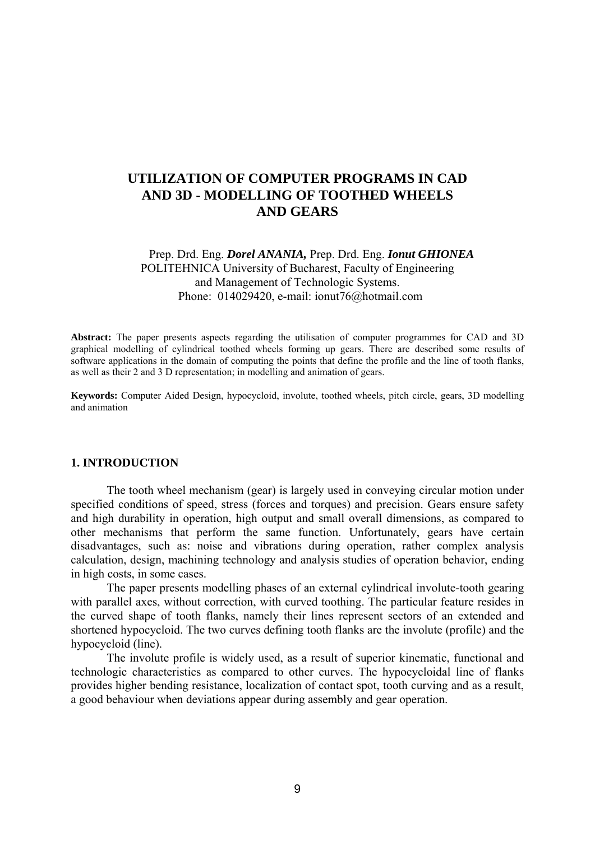# **UTILIZATION OF COMPUTER PROGRAMS IN CAD AND 3D - MODELLING OF TOOTHED WHEELS AND GEARS**

## Prep. Drd. Eng. *Dorel ANANIA,* Prep. Drd. Eng. *Ionut GHIONEA*  POLITEHNICA University of Bucharest, Faculty of Engineering and Management of Technologic Systems. Phone: 014029420, e-mail: ionut76@hotmail.com

**Abstract:** The paper presents aspects regarding the utilisation of computer programmes for CAD and 3D graphical modelling of cylindrical toothed wheels forming up gears. There are described some results of software applications in the domain of computing the points that define the profile and the line of tooth flanks, as well as their 2 and 3 D representation; in modelling and animation of gears.

**Keywords:** Computer Aided Design, hypocycloid, involute, toothed wheels, pitch circle, gears, 3D modelling and animation

#### **1. INTRODUCTION**

 The tooth wheel mechanism (gear) is largely used in conveying circular motion under specified conditions of speed, stress (forces and torques) and precision. Gears ensure safety and high durability in operation, high output and small overall dimensions, as compared to other mechanisms that perform the same function. Unfortunately, gears have certain disadvantages, such as: noise and vibrations during operation, rather complex analysis calculation, design, machining technology and analysis studies of operation behavior, ending in high costs, in some cases.

 The paper presents modelling phases of an external cylindrical involute-tooth gearing with parallel axes, without correction, with curved toothing. The particular feature resides in the curved shape of tooth flanks, namely their lines represent sectors of an extended and shortened hypocycloid. The two curves defining tooth flanks are the involute (profile) and the hypocycloid (line).

 The involute profile is widely used, as a result of superior kinematic, functional and technologic characteristics as compared to other curves. The hypocycloidal line of flanks provides higher bending resistance, localization of contact spot, tooth curving and as a result, a good behaviour when deviations appear during assembly and gear operation.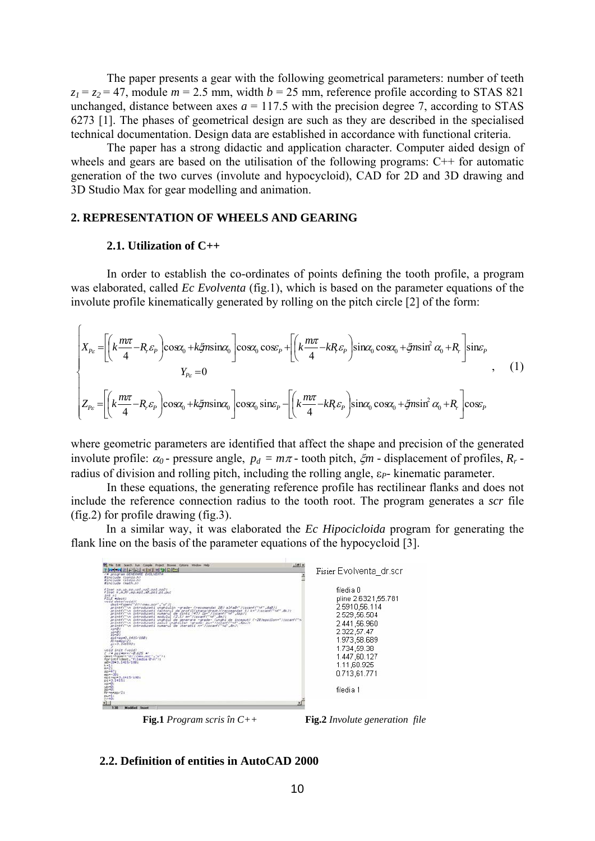The paper presents a gear with the following geometrical parameters: number of teeth  $z_1 = z_2 = 47$ , module  $m = 2.5$  mm, width  $b = 25$  mm, reference profile according to STAS 821 unchanged, distance between axes  $a = 117.5$  with the precision degree 7, according to STAS 6273 [1]. The phases of geometrical design are such as they are described in the specialised technical documentation. Design data are established in accordance with functional criteria.

 The paper has a strong didactic and application character. Computer aided design of wheels and gears are based on the utilisation of the following programs: C<sup>++</sup> for automatic generation of the two curves (involute and hypocycloid), CAD for 2D and 3D drawing and 3D Studio Max for gear modelling and animation.

## **2. REPRESENTATION OF WHEELS AND GEARING**

#### **2.1. Utilization of C++**

 $\epsilon$ 

 In order to establish the co-ordinates of points defining the tooth profile, a program was elaborated, called *Ec Evolventa* (fig.1), which is based on the parameter equations of the involute profile kinematically generated by rolling on the pitch circle [2] of the form:

$$
\begin{cases}\nX_{P_{\varepsilon}} = \left[ \left( k \frac{m\pi}{4} - R_{\varepsilon} \varepsilon_{P} \right) \cos \alpha_{0} + k \xi n \sin \alpha_{0} \right] \cos \alpha_{0} \cos \varepsilon_{P} + \left[ \left( k \frac{m\pi}{4} - k R_{\varepsilon} \varepsilon_{P} \right) \sin \alpha_{0} \cos \alpha_{0} + \xi n \sin^{2} \alpha_{0} + R_{\varepsilon} \right] \sin \varepsilon_{P} \\
Y_{P_{\varepsilon}} = 0 \quad \ \ \, (1) \\
Z_{P_{\varepsilon}} = \left[ \left( k \frac{m\pi}{4} - R_{\varepsilon} \varepsilon_{P} \right) \cos \alpha_{0} + k \xi n \sin \alpha_{0} \right] \cos \alpha_{0} \sin \varepsilon_{P} - \left[ \left( k \frac{m\pi}{4} - k R_{\varepsilon} \varepsilon_{P} \right) \sin \alpha_{0} \cos \alpha_{0} + \xi n \sin^{2} \alpha_{0} + R_{\varepsilon} \right] \cos \varepsilon_{P}\n\end{cases} \tag{1}
$$

where geometric parameters are identified that affect the shape and precision of the generated involute profile:  $\alpha_0$  - pressure angle,  $p_d = m\pi$  - tooth pitch,  $\zeta_m$  - displacement of profiles,  $R_r$  radius of division and rolling pitch, including the rolling angle,  $\varepsilon_P$ - kinematic parameter.

 In these equations, the generating reference profile has rectilinear flanks and does not include the reference connection radius to the tooth root. The program generates a *scr* file (fig.2) for profile drawing (fig.3).

In a similar way, it was elaborated the *Ec Hipocicloida* program for generating the flank line on the basis of the parameter equations of the hypocycloid [3].



**Fig.1** *Program scris în C++* **Fig.2** *Involute generation file* 

## **2.2. Definition of entities in AutoCAD 2000**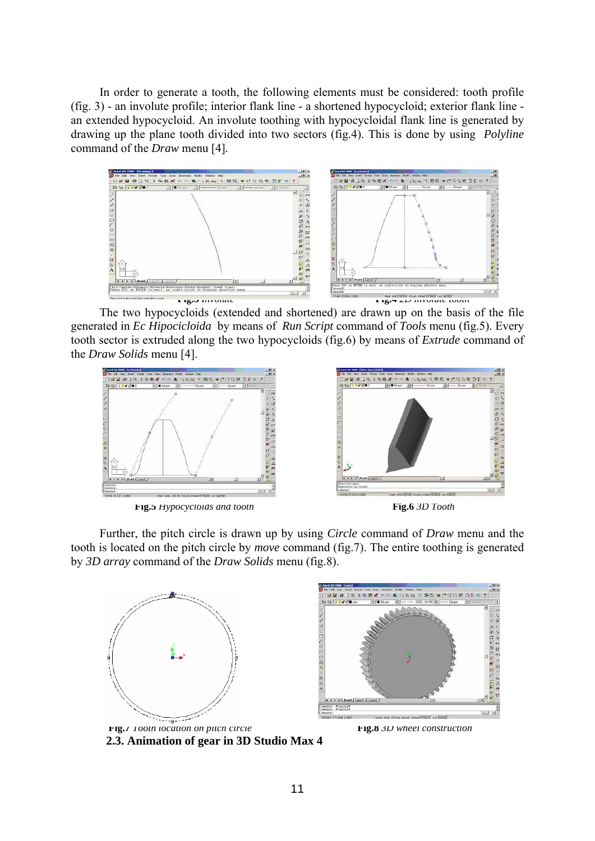In order to generate a tooth, the following elements must be considered: tooth profile (fig. 3) - an involute profile; interior flank line - a shortened hypocycloid; exterior flank line an extended hypocycloid. An involute toothing with hypocycloidal flank line is generated by drawing up the plane tooth divided into two sectors (fig.4). This is done by using *Polyline*  command of the *Draw* menu [4]*.* 



The two hypocycloids (extended and shortened) are drawn up on the basis of the file generated in *Ec Hipocicloida* by means of *Run Script* command of *Tools* menu (fig.5). Every tooth sector is extruded along the two hypocycloids (fig.6) by means of *Extrude* command of the *Draw Solids* menu [4].



Further, the pitch circle is drawn up by using *Circle* command of *Draw* menu and the tooth is located on the pitch circle by *move* command (fig.7). The entire toothing is generated by *3D array* command of the *Draw Solids* menu (fig.8).





**2.3. Animation of gear in 3D Studio Max 4** 

**Fig.7** *Tooth location on pitch circle* **Fig.8** *3D wheel construction*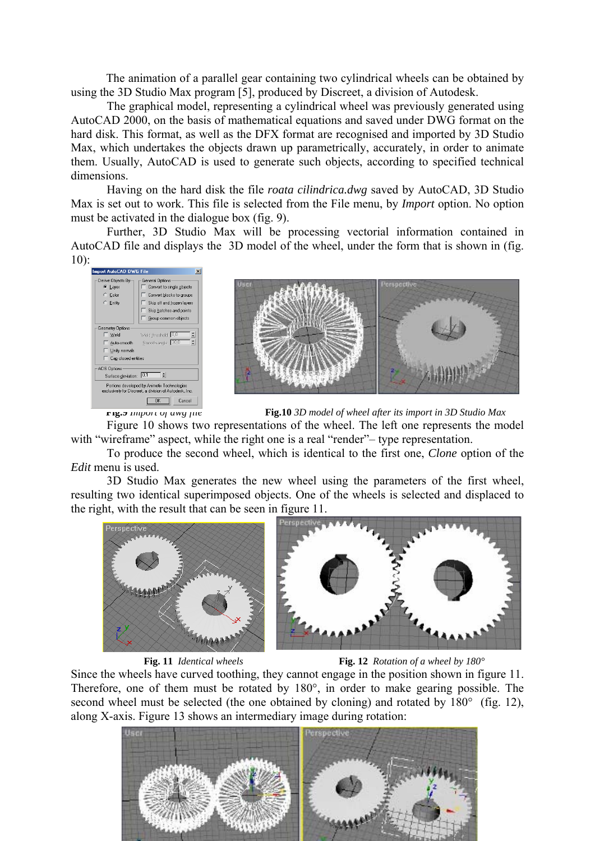The animation of a parallel gear containing two cylindrical wheels can be obtained by using the 3D Studio Max program [5], produced by Discreet, a division of Autodesk.

The graphical model, representing a cylindrical wheel was previously generated using AutoCAD 2000, on the basis of mathematical equations and saved under DWG format on the hard disk. This format, as well as the DFX format are recognised and imported by 3D Studio Max, which undertakes the objects drawn up parametrically, accurately, in order to animate them. Usually, AutoCAD is used to generate such objects, according to specified technical dimensions.

Having on the hard disk the file *roata cilindrica.dwg* saved by AutoCAD, 3D Studio Max is set out to work. This file is selected from the File menu, by *Import* option. No option must be activated in the dialogue box (fig. 9).

 Further, 3D Studio Max will be processing vectorial information contained in AutoCAD file and displays the 3D model of the wheel, under the form that is shown in (fig.  $10$ :





 **Fig.9** *Import of dwg file* **Fig.10** *3D model of wheel after its import in 3D Studio Max* 

Figure 10 shows two representations of the wheel. The left one represents the model with "wireframe" aspect, while the right one is a real "render"- type representation.

 To produce the second wheel, which is identical to the first one, *Clone* option of the *Edit* menu is used.

3D Studio Max generates the new wheel using the parameters of the first wheel, resulting two identical superimposed objects. One of the wheels is selected and displaced to the right, with the result that can be seen in figure 11.



 **Fig. 11** *Identical wheels* **Fig. 12** *Rotation of a wheel by 180°* 

Since the wheels have curved toothing, they cannot engage in the position shown in figure 11. Therefore, one of them must be rotated by 180°, in order to make gearing possible. The second wheel must be selected (the one obtained by cloning) and rotated by 180 $^{\circ}$  (fig. 12), along X-axis. Figure 13 shows an intermediary image during rotation:

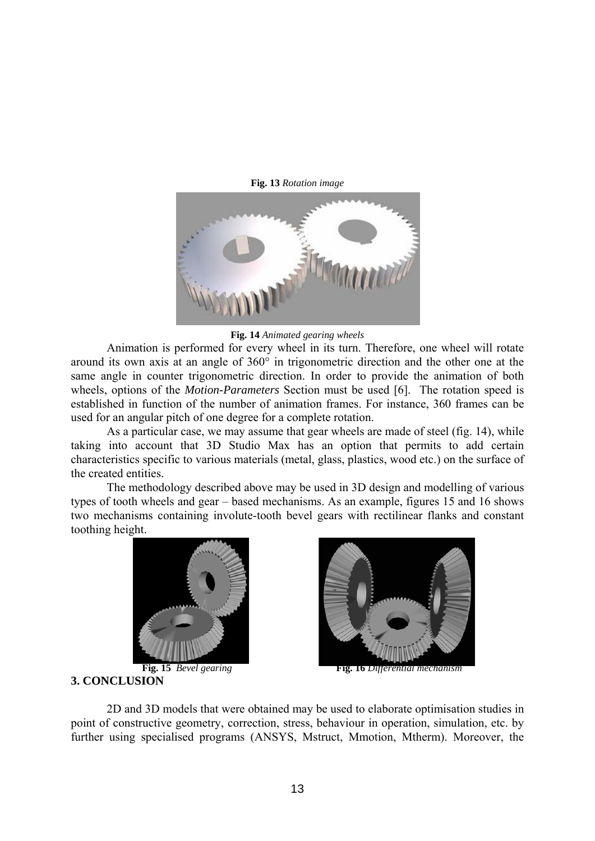

**Fig. 13** *Rotation image* 

**Fig. 14** *Animated gearing wheels*

 Animation is performed for every wheel in its turn. Therefore, one wheel will rotate around its own axis at an angle of 360° in trigonometric direction and the other one at the same angle in counter trigonometric direction. In order to provide the animation of both wheels, options of the *Motion-Parameters* Section must be used [6]. The rotation speed is established in function of the number of animation frames. For instance, 360 frames can be used for an angular pitch of one degree for a complete rotation.

 As a particular case, we may assume that gear wheels are made of steel (fig. 14), while taking into account that 3D Studio Max has an option that permits to add certain characteristics specific to various materials (metal, glass, plastics, wood etc.) on the surface of the created entities.

 The methodology described above may be used in 3D design and modelling of various types of tooth wheels and gear – based mechanisms. As an example, figures 15 and 16 shows two mechanisms containing involute-tooth bevel gears with rectilinear flanks and constant toothing height.





**Fig. 15** *Bevel gearing* **Fig. 16** *Differential mechanism* 

**3. CONCLUSION** 

 2D and 3D models that were obtained may be used to elaborate optimisation studies in point of constructive geometry, correction, stress, behaviour in operation, simulation, etc. by further using specialised programs (ANSYS, Mstruct, Mmotion, Mtherm). Moreover, the